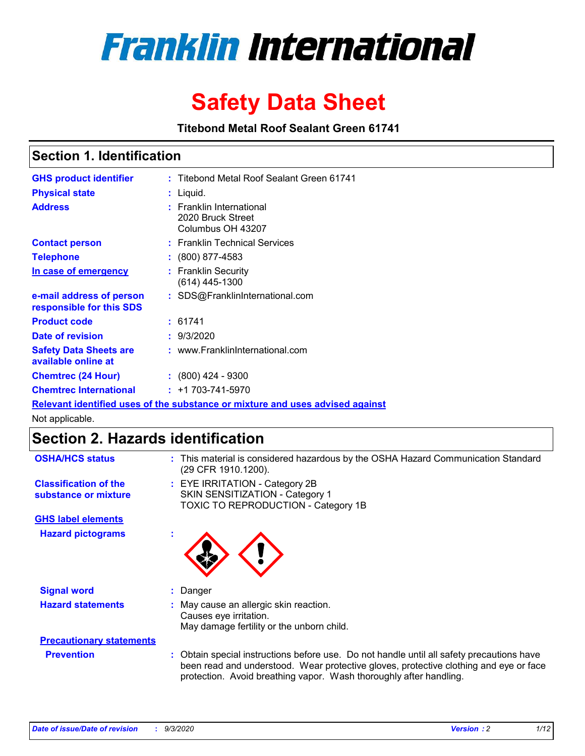

# **Safety Data Sheet**

**Titebond Metal Roof Sealant Green 61741**

### **Section 1. Identification**

| <b>GHS product identifier</b>                                                 |  | : Titebond Metal Roof Sealant Green 61741                          |  |  |
|-------------------------------------------------------------------------------|--|--------------------------------------------------------------------|--|--|
| <b>Physical state</b>                                                         |  | $:$ Liquid.                                                        |  |  |
| <b>Address</b>                                                                |  | : Franklin International<br>2020 Bruck Street<br>Columbus OH 43207 |  |  |
| <b>Contact person</b>                                                         |  | : Franklin Technical Services                                      |  |  |
| <b>Telephone</b>                                                              |  | $\colon$ (800) 877-4583                                            |  |  |
| In case of emergency                                                          |  | : Franklin Security<br>(614) 445-1300                              |  |  |
| e-mail address of person<br>responsible for this SDS                          |  | : SDS@FranklinInternational.com                                    |  |  |
| <b>Product code</b>                                                           |  | : 61741                                                            |  |  |
| Date of revision                                                              |  | : 9/3/2020                                                         |  |  |
| <b>Safety Data Sheets are</b><br>available online at                          |  | : www.FranklinInternational.com                                    |  |  |
| <b>Chemtrec (24 Hour)</b>                                                     |  | $: (800)$ 424 - 9300                                               |  |  |
| <b>Chemtrec International</b>                                                 |  | $: +1703 - 741 - 5970$                                             |  |  |
| Relevant identified uses of the substance or mixture and uses advised against |  |                                                                    |  |  |

Not applicable.

### **Section 2. Hazards identification**

| <b>OSHA/HCS status</b>                               | : This material is considered hazardous by the OSHA Hazard Communication Standard<br>(29 CFR 1910.1200).                                                                                                                                                 |
|------------------------------------------------------|----------------------------------------------------------------------------------------------------------------------------------------------------------------------------------------------------------------------------------------------------------|
| <b>Classification of the</b><br>substance or mixture | : EYE IRRITATION - Category 2B<br>SKIN SENSITIZATION - Category 1<br>TOXIC TO REPRODUCTION - Category 1B                                                                                                                                                 |
| <b>GHS label elements</b>                            |                                                                                                                                                                                                                                                          |
| <b>Hazard pictograms</b>                             |                                                                                                                                                                                                                                                          |
| <b>Signal word</b>                                   | : Danger                                                                                                                                                                                                                                                 |
| <b>Hazard statements</b>                             | : May cause an allergic skin reaction.<br>Causes eye irritation.<br>May damage fertility or the unborn child.                                                                                                                                            |
| <b>Precautionary statements</b>                      |                                                                                                                                                                                                                                                          |
| <b>Prevention</b>                                    | : Obtain special instructions before use. Do not handle until all safety precautions have<br>been read and understood. Wear protective gloves, protective clothing and eye or face<br>protection. Avoid breathing vapor. Wash thoroughly after handling. |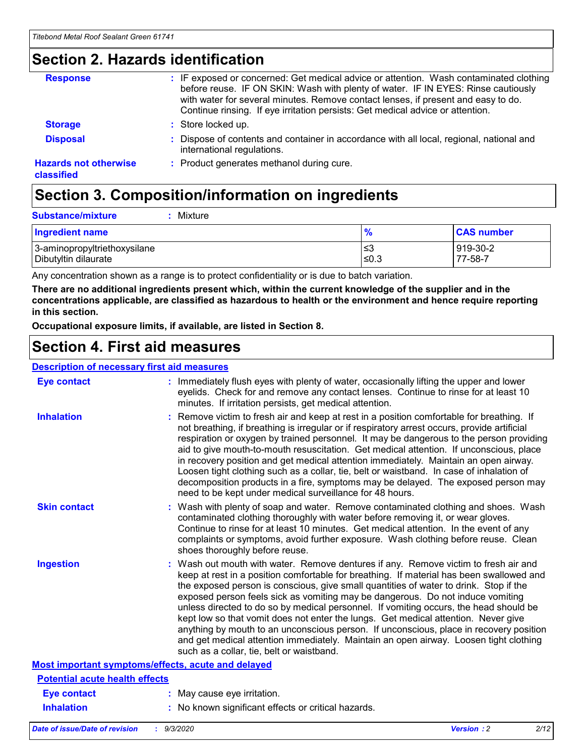### **Section 2. Hazards identification**

| <b>Response</b>                            | : IF exposed or concerned: Get medical advice or attention. Wash contaminated clothing<br>before reuse. IF ON SKIN: Wash with plenty of water. IF IN EYES: Rinse cautiously<br>with water for several minutes. Remove contact lenses, if present and easy to do.<br>Continue rinsing. If eye irritation persists: Get medical advice or attention. |
|--------------------------------------------|----------------------------------------------------------------------------------------------------------------------------------------------------------------------------------------------------------------------------------------------------------------------------------------------------------------------------------------------------|
| <b>Storage</b>                             | : Store locked up.                                                                                                                                                                                                                                                                                                                                 |
| <b>Disposal</b>                            | : Dispose of contents and container in accordance with all local, regional, national and<br>international regulations.                                                                                                                                                                                                                             |
| <b>Hazards not otherwise</b><br>classified | : Product generates methanol during cure.                                                                                                                                                                                                                                                                                                          |

## **Section 3. Composition/information on ingredients**

| <b>Substance/mixture</b><br>Mixture |
|-------------------------------------|
|                                     |

| <b>Ingredient name</b>       | $\frac{9}{6}$ | <b>CAS number</b> |
|------------------------------|---------------|-------------------|
| 3-aminopropyltriethoxysilane | ≤3            | 919-30-2          |
| Dibutyltin dilaurate         | ∣≤0.3         | 77-58-7           |

Any concentration shown as a range is to protect confidentiality or is due to batch variation.

**There are no additional ingredients present which, within the current knowledge of the supplier and in the concentrations applicable, are classified as hazardous to health or the environment and hence require reporting in this section.**

**Occupational exposure limits, if available, are listed in Section 8.**

### **Section 4. First aid measures**

| <b>Description of necessary first aid measures</b> |                                                                                                                                                                                                                                                                                                                                                                                                                                                                                                                                                                                                                                                                                                                                                                           |
|----------------------------------------------------|---------------------------------------------------------------------------------------------------------------------------------------------------------------------------------------------------------------------------------------------------------------------------------------------------------------------------------------------------------------------------------------------------------------------------------------------------------------------------------------------------------------------------------------------------------------------------------------------------------------------------------------------------------------------------------------------------------------------------------------------------------------------------|
| <b>Eye contact</b>                                 | : Immediately flush eyes with plenty of water, occasionally lifting the upper and lower<br>eyelids. Check for and remove any contact lenses. Continue to rinse for at least 10<br>minutes. If irritation persists, get medical attention.                                                                                                                                                                                                                                                                                                                                                                                                                                                                                                                                 |
| <b>Inhalation</b>                                  | : Remove victim to fresh air and keep at rest in a position comfortable for breathing. If<br>not breathing, if breathing is irregular or if respiratory arrest occurs, provide artificial<br>respiration or oxygen by trained personnel. It may be dangerous to the person providing<br>aid to give mouth-to-mouth resuscitation. Get medical attention. If unconscious, place<br>in recovery position and get medical attention immediately. Maintain an open airway.<br>Loosen tight clothing such as a collar, tie, belt or waistband. In case of inhalation of<br>decomposition products in a fire, symptoms may be delayed. The exposed person may<br>need to be kept under medical surveillance for 48 hours.                                                       |
| <b>Skin contact</b>                                | : Wash with plenty of soap and water. Remove contaminated clothing and shoes. Wash<br>contaminated clothing thoroughly with water before removing it, or wear gloves.<br>Continue to rinse for at least 10 minutes. Get medical attention. In the event of any<br>complaints or symptoms, avoid further exposure. Wash clothing before reuse. Clean<br>shoes thoroughly before reuse.                                                                                                                                                                                                                                                                                                                                                                                     |
| <b>Ingestion</b>                                   | : Wash out mouth with water. Remove dentures if any. Remove victim to fresh air and<br>keep at rest in a position comfortable for breathing. If material has been swallowed and<br>the exposed person is conscious, give small quantities of water to drink. Stop if the<br>exposed person feels sick as vomiting may be dangerous. Do not induce vomiting<br>unless directed to do so by medical personnel. If vomiting occurs, the head should be<br>kept low so that vomit does not enter the lungs. Get medical attention. Never give<br>anything by mouth to an unconscious person. If unconscious, place in recovery position<br>and get medical attention immediately. Maintain an open airway. Loosen tight clothing<br>such as a collar, tie, belt or waistband. |
| Most important symptoms/effects, acute and delayed |                                                                                                                                                                                                                                                                                                                                                                                                                                                                                                                                                                                                                                                                                                                                                                           |
| <b>Potential acute health effects</b>              |                                                                                                                                                                                                                                                                                                                                                                                                                                                                                                                                                                                                                                                                                                                                                                           |
| <b>Eye contact</b>                                 | : May cause eye irritation.                                                                                                                                                                                                                                                                                                                                                                                                                                                                                                                                                                                                                                                                                                                                               |
| <b>Inhalation</b>                                  | : No known significant effects or critical hazards.                                                                                                                                                                                                                                                                                                                                                                                                                                                                                                                                                                                                                                                                                                                       |
|                                                    |                                                                                                                                                                                                                                                                                                                                                                                                                                                                                                                                                                                                                                                                                                                                                                           |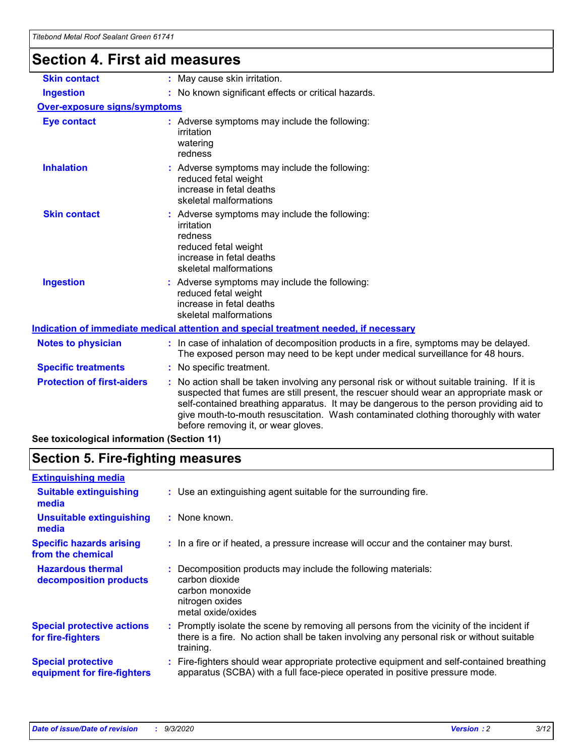## **Section 4. First aid measures**

| <b>Skin contact</b>                        | : May cause skin irritation.                                                                                                                                                                                                                                                                                                                                                                                  |  |  |
|--------------------------------------------|---------------------------------------------------------------------------------------------------------------------------------------------------------------------------------------------------------------------------------------------------------------------------------------------------------------------------------------------------------------------------------------------------------------|--|--|
| <b>Ingestion</b>                           | : No known significant effects or critical hazards.                                                                                                                                                                                                                                                                                                                                                           |  |  |
| <b>Over-exposure signs/symptoms</b>        |                                                                                                                                                                                                                                                                                                                                                                                                               |  |  |
| <b>Eye contact</b>                         | : Adverse symptoms may include the following:<br>irritation<br>watering<br>redness                                                                                                                                                                                                                                                                                                                            |  |  |
| <b>Inhalation</b>                          | : Adverse symptoms may include the following:<br>reduced fetal weight<br>increase in fetal deaths<br>skeletal malformations                                                                                                                                                                                                                                                                                   |  |  |
| <b>Skin contact</b>                        | Adverse symptoms may include the following:<br>irritation<br>redness<br>reduced fetal weight<br>increase in fetal deaths<br>skeletal malformations                                                                                                                                                                                                                                                            |  |  |
| <b>Ingestion</b>                           | : Adverse symptoms may include the following:<br>reduced fetal weight<br>increase in fetal deaths<br>skeletal malformations                                                                                                                                                                                                                                                                                   |  |  |
|                                            | Indication of immediate medical attention and special treatment needed, if necessary                                                                                                                                                                                                                                                                                                                          |  |  |
| <b>Notes to physician</b>                  | : In case of inhalation of decomposition products in a fire, symptoms may be delayed.<br>The exposed person may need to be kept under medical surveillance for 48 hours.                                                                                                                                                                                                                                      |  |  |
| <b>Specific treatments</b>                 | : No specific treatment.                                                                                                                                                                                                                                                                                                                                                                                      |  |  |
| <b>Protection of first-aiders</b>          | No action shall be taken involving any personal risk or without suitable training. If it is<br>suspected that fumes are still present, the rescuer should wear an appropriate mask or<br>self-contained breathing apparatus. It may be dangerous to the person providing aid to<br>give mouth-to-mouth resuscitation. Wash contaminated clothing thoroughly with water<br>before removing it, or wear gloves. |  |  |
| See toxicological information (Section 11) |                                                                                                                                                                                                                                                                                                                                                                                                               |  |  |

## **Section 5. Fire-fighting measures**

| : Use an extinguishing agent suitable for the surrounding fire.                                                                                                                                   |
|---------------------------------------------------------------------------------------------------------------------------------------------------------------------------------------------------|
| : None known.                                                                                                                                                                                     |
| : In a fire or if heated, a pressure increase will occur and the container may burst.                                                                                                             |
| Decomposition products may include the following materials:<br>carbon dioxide<br>carbon monoxide<br>nitrogen oxides<br>metal oxide/oxides                                                         |
| Promptly isolate the scene by removing all persons from the vicinity of the incident if<br>there is a fire. No action shall be taken involving any personal risk or without suitable<br>training. |
| Fire-fighters should wear appropriate protective equipment and self-contained breathing<br>apparatus (SCBA) with a full face-piece operated in positive pressure mode.                            |
|                                                                                                                                                                                                   |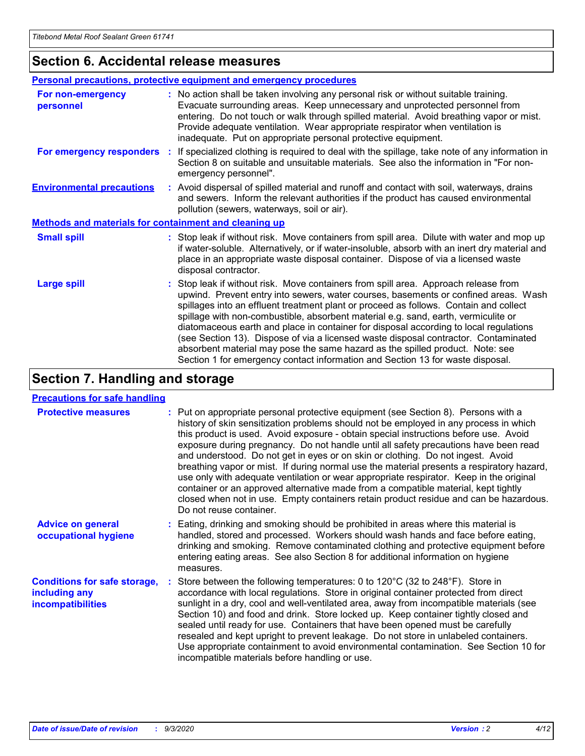### **Section 6. Accidental release measures**

|                                                              | <b>Personal precautions, protective equipment and emergency procedures</b>                                                                                                                                                                                                                                                                                                                                                                                                                                                                                                                                                                                                                                   |  |  |
|--------------------------------------------------------------|--------------------------------------------------------------------------------------------------------------------------------------------------------------------------------------------------------------------------------------------------------------------------------------------------------------------------------------------------------------------------------------------------------------------------------------------------------------------------------------------------------------------------------------------------------------------------------------------------------------------------------------------------------------------------------------------------------------|--|--|
| For non-emergency<br>personnel                               | : No action shall be taken involving any personal risk or without suitable training.<br>Evacuate surrounding areas. Keep unnecessary and unprotected personnel from<br>entering. Do not touch or walk through spilled material. Avoid breathing vapor or mist.<br>Provide adequate ventilation. Wear appropriate respirator when ventilation is<br>inadequate. Put on appropriate personal protective equipment.                                                                                                                                                                                                                                                                                             |  |  |
| For emergency responders                                     | : If specialized clothing is required to deal with the spillage, take note of any information in<br>Section 8 on suitable and unsuitable materials. See also the information in "For non-<br>emergency personnel".                                                                                                                                                                                                                                                                                                                                                                                                                                                                                           |  |  |
| <b>Environmental precautions</b>                             | : Avoid dispersal of spilled material and runoff and contact with soil, waterways, drains<br>and sewers. Inform the relevant authorities if the product has caused environmental<br>pollution (sewers, waterways, soil or air).                                                                                                                                                                                                                                                                                                                                                                                                                                                                              |  |  |
| <b>Methods and materials for containment and cleaning up</b> |                                                                                                                                                                                                                                                                                                                                                                                                                                                                                                                                                                                                                                                                                                              |  |  |
| <b>Small spill</b>                                           | : Stop leak if without risk. Move containers from spill area. Dilute with water and mop up<br>if water-soluble. Alternatively, or if water-insoluble, absorb with an inert dry material and<br>place in an appropriate waste disposal container. Dispose of via a licensed waste<br>disposal contractor.                                                                                                                                                                                                                                                                                                                                                                                                     |  |  |
| <b>Large spill</b>                                           | : Stop leak if without risk. Move containers from spill area. Approach release from<br>upwind. Prevent entry into sewers, water courses, basements or confined areas. Wash<br>spillages into an effluent treatment plant or proceed as follows. Contain and collect<br>spillage with non-combustible, absorbent material e.g. sand, earth, vermiculite or<br>diatomaceous earth and place in container for disposal according to local regulations<br>(see Section 13). Dispose of via a licensed waste disposal contractor. Contaminated<br>absorbent material may pose the same hazard as the spilled product. Note: see<br>Section 1 for emergency contact information and Section 13 for waste disposal. |  |  |

### **Section 7. Handling and storage**

#### **Precautions for safe handling**

| <b>Protective measures</b>                                                       | : Put on appropriate personal protective equipment (see Section 8). Persons with a<br>history of skin sensitization problems should not be employed in any process in which<br>this product is used. Avoid exposure - obtain special instructions before use. Avoid<br>exposure during pregnancy. Do not handle until all safety precautions have been read<br>and understood. Do not get in eyes or on skin or clothing. Do not ingest. Avoid<br>breathing vapor or mist. If during normal use the material presents a respiratory hazard,<br>use only with adequate ventilation or wear appropriate respirator. Keep in the original<br>container or an approved alternative made from a compatible material, kept tightly<br>closed when not in use. Empty containers retain product residue and can be hazardous.<br>Do not reuse container. |
|----------------------------------------------------------------------------------|--------------------------------------------------------------------------------------------------------------------------------------------------------------------------------------------------------------------------------------------------------------------------------------------------------------------------------------------------------------------------------------------------------------------------------------------------------------------------------------------------------------------------------------------------------------------------------------------------------------------------------------------------------------------------------------------------------------------------------------------------------------------------------------------------------------------------------------------------|
| <b>Advice on general</b><br>occupational hygiene                                 | : Eating, drinking and smoking should be prohibited in areas where this material is<br>handled, stored and processed. Workers should wash hands and face before eating,<br>drinking and smoking. Remove contaminated clothing and protective equipment before<br>entering eating areas. See also Section 8 for additional information on hygiene<br>measures.                                                                                                                                                                                                                                                                                                                                                                                                                                                                                    |
| <b>Conditions for safe storage,</b><br>including any<br><i>incompatibilities</i> | Store between the following temperatures: 0 to 120°C (32 to 248°F). Store in<br>accordance with local regulations. Store in original container protected from direct<br>sunlight in a dry, cool and well-ventilated area, away from incompatible materials (see<br>Section 10) and food and drink. Store locked up. Keep container tightly closed and<br>sealed until ready for use. Containers that have been opened must be carefully<br>resealed and kept upright to prevent leakage. Do not store in unlabeled containers.<br>Use appropriate containment to avoid environmental contamination. See Section 10 for<br>incompatible materials before handling or use.                                                                                                                                                                         |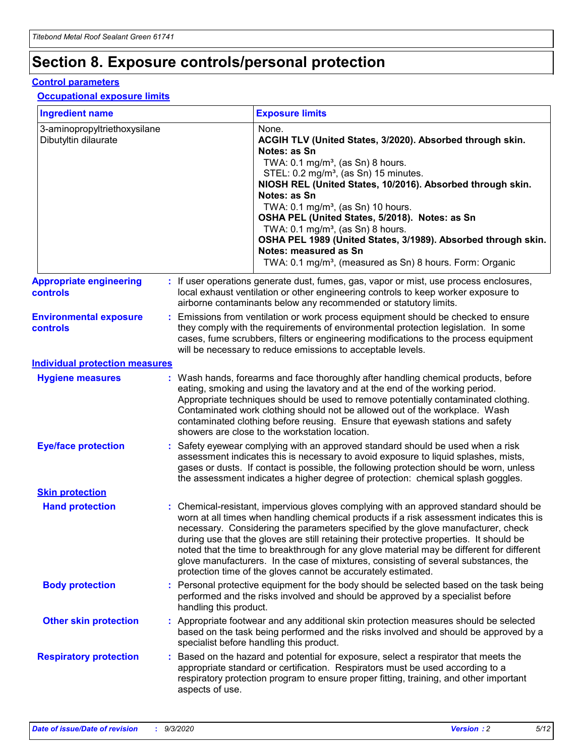## **Section 8. Exposure controls/personal protection**

#### **Control parameters**

#### **Occupational exposure limits**

| <b>Ingredient name</b>                               |    |                                                                                                                                                                                                                                                                                                                                                     | <b>Exposure limits</b>                                                                                                                                                                                                                                                                                                                                                                                                                                                                                                                                                                                                 |  |
|------------------------------------------------------|----|-----------------------------------------------------------------------------------------------------------------------------------------------------------------------------------------------------------------------------------------------------------------------------------------------------------------------------------------------------|------------------------------------------------------------------------------------------------------------------------------------------------------------------------------------------------------------------------------------------------------------------------------------------------------------------------------------------------------------------------------------------------------------------------------------------------------------------------------------------------------------------------------------------------------------------------------------------------------------------------|--|
| 3-aminopropyltriethoxysilane<br>Dibutyltin dilaurate |    |                                                                                                                                                                                                                                                                                                                                                     | None.<br>ACGIH TLV (United States, 3/2020). Absorbed through skin.<br>Notes: as Sn<br>TWA: $0.1 \text{ mg/m}^3$ , (as Sn) 8 hours.<br>STEL: 0.2 mg/m <sup>3</sup> , (as Sn) 15 minutes.<br>NIOSH REL (United States, 10/2016). Absorbed through skin.<br>Notes: as Sn<br>TWA: 0.1 mg/m <sup>3</sup> , (as Sn) 10 hours.<br>OSHA PEL (United States, 5/2018). Notes: as Sn<br>TWA: 0.1 mg/m <sup>3</sup> , (as Sn) 8 hours.<br>OSHA PEL 1989 (United States, 3/1989). Absorbed through skin.<br>Notes: measured as Sn<br>TWA: 0.1 mg/m <sup>3</sup> , (measured as Sn) 8 hours. Form: Organic                           |  |
| <b>Appropriate engineering</b><br>controls           |    |                                                                                                                                                                                                                                                                                                                                                     | : If user operations generate dust, fumes, gas, vapor or mist, use process enclosures,<br>local exhaust ventilation or other engineering controls to keep worker exposure to<br>airborne contaminants below any recommended or statutory limits.                                                                                                                                                                                                                                                                                                                                                                       |  |
| <b>Environmental exposure</b><br>controls            |    | Emissions from ventilation or work process equipment should be checked to ensure<br>they comply with the requirements of environmental protection legislation. In some<br>cases, fume scrubbers, filters or engineering modifications to the process equipment<br>will be necessary to reduce emissions to acceptable levels.                       |                                                                                                                                                                                                                                                                                                                                                                                                                                                                                                                                                                                                                        |  |
| <b>Individual protection measures</b>                |    |                                                                                                                                                                                                                                                                                                                                                     |                                                                                                                                                                                                                                                                                                                                                                                                                                                                                                                                                                                                                        |  |
| <b>Hygiene measures</b>                              |    |                                                                                                                                                                                                                                                                                                                                                     | : Wash hands, forearms and face thoroughly after handling chemical products, before<br>eating, smoking and using the lavatory and at the end of the working period.<br>Appropriate techniques should be used to remove potentially contaminated clothing.<br>Contaminated work clothing should not be allowed out of the workplace. Wash<br>contaminated clothing before reusing. Ensure that eyewash stations and safety<br>showers are close to the workstation location.                                                                                                                                            |  |
| <b>Eye/face protection</b>                           |    | Safety eyewear complying with an approved standard should be used when a risk<br>assessment indicates this is necessary to avoid exposure to liquid splashes, mists,<br>gases or dusts. If contact is possible, the following protection should be worn, unless<br>the assessment indicates a higher degree of protection: chemical splash goggles. |                                                                                                                                                                                                                                                                                                                                                                                                                                                                                                                                                                                                                        |  |
| <b>Skin protection</b>                               |    |                                                                                                                                                                                                                                                                                                                                                     |                                                                                                                                                                                                                                                                                                                                                                                                                                                                                                                                                                                                                        |  |
| <b>Hand protection</b>                               |    |                                                                                                                                                                                                                                                                                                                                                     | : Chemical-resistant, impervious gloves complying with an approved standard should be<br>worn at all times when handling chemical products if a risk assessment indicates this is<br>necessary. Considering the parameters specified by the glove manufacturer, check<br>during use that the gloves are still retaining their protective properties. It should be<br>noted that the time to breakthrough for any glove material may be different for different<br>glove manufacturers. In the case of mixtures, consisting of several substances, the<br>protection time of the gloves cannot be accurately estimated. |  |
| <b>Body protection</b>                               |    | Personal protective equipment for the body should be selected based on the task being<br>performed and the risks involved and should be approved by a specialist before<br>handling this product.                                                                                                                                                   |                                                                                                                                                                                                                                                                                                                                                                                                                                                                                                                                                                                                                        |  |
| <b>Other skin protection</b>                         |    |                                                                                                                                                                                                                                                                                                                                                     | : Appropriate footwear and any additional skin protection measures should be selected<br>based on the task being performed and the risks involved and should be approved by a<br>specialist before handling this product.                                                                                                                                                                                                                                                                                                                                                                                              |  |
| <b>Respiratory protection</b>                        | ÷. | aspects of use.                                                                                                                                                                                                                                                                                                                                     | Based on the hazard and potential for exposure, select a respirator that meets the<br>appropriate standard or certification. Respirators must be used according to a<br>respiratory protection program to ensure proper fitting, training, and other important                                                                                                                                                                                                                                                                                                                                                         |  |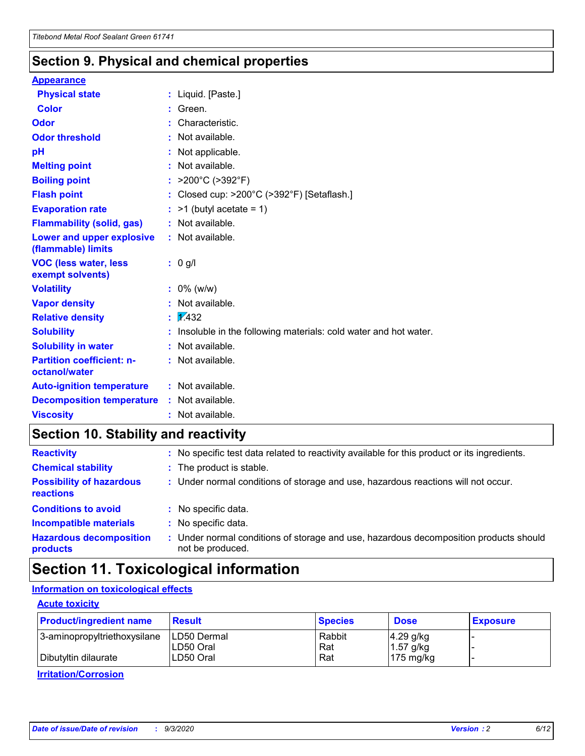### **Section 9. Physical and chemical properties**

#### **Appearance**

| <b>Physical state</b>                             | : Liquid. [Paste.]                                              |
|---------------------------------------------------|-----------------------------------------------------------------|
| Color                                             | Green.                                                          |
| Odor                                              | : Characteristic.                                               |
| <b>Odor threshold</b>                             | $:$ Not available.                                              |
| рH                                                | : Not applicable.                                               |
| <b>Melting point</b>                              | : Not available.                                                |
| <b>Boiling point</b>                              | : $>200^{\circ}$ C ( $>392^{\circ}$ F)                          |
| <b>Flash point</b>                                | : Closed cup: >200°C (>392°F) [Setaflash.]                      |
| <b>Evaporation rate</b>                           | $:$ >1 (butyl acetate = 1)                                      |
| <b>Flammability (solid, gas)</b>                  | : Not available.                                                |
| Lower and upper explosive<br>(flammable) limits   | : Not available.                                                |
| <b>VOC (less water, less</b><br>exempt solvents)  | $: 0$ g/l                                                       |
| <b>Volatility</b>                                 | $: 0\%$ (w/w)                                                   |
| <b>Vapor density</b>                              | : Not available.                                                |
| <b>Relative density</b>                           | $\mathbf{1}$ $\mathbf{\sqrt{432}}$                              |
| <b>Solubility</b>                                 | Insoluble in the following materials: cold water and hot water. |
| <b>Solubility in water</b>                        | : Not available.                                                |
| <b>Partition coefficient: n-</b><br>octanol/water | $:$ Not available.                                              |
| <b>Auto-ignition temperature</b>                  | : Not available.                                                |
| <b>Decomposition temperature</b>                  | : Not available.                                                |
| <b>Viscosity</b>                                  | : Not available.                                                |

### **Section 10. Stability and reactivity**

| <b>Reactivity</b>                            | : No specific test data related to reactivity available for this product or its ingredients.            |
|----------------------------------------------|---------------------------------------------------------------------------------------------------------|
| <b>Chemical stability</b>                    | : The product is stable.                                                                                |
| <b>Possibility of hazardous</b><br>reactions | : Under normal conditions of storage and use, hazardous reactions will not occur.                       |
| <b>Conditions to avoid</b>                   | : No specific data.                                                                                     |
| <b>Incompatible materials</b>                | : No specific data.                                                                                     |
| <b>Hazardous decomposition</b><br>products   | Under normal conditions of storage and use, hazardous decomposition products should<br>not be produced. |

### **Section 11. Toxicological information**

#### **Information on toxicological effects**

#### **Acute toxicity**

| <b>Product/ingredient name</b> | <b>Result</b>           | <b>Species</b> | <b>Dose</b>                | <b>Exposure</b> |
|--------------------------------|-------------------------|----------------|----------------------------|-----------------|
| 3-aminopropyltriethoxysilane   | <b>ILD50 Dermal</b>     | Rabbit         | 4.29 g/kg                  |                 |
| Dibutyltin dilaurate           | ILD50 Oral<br>LD50 Oral | Rat<br>Rat     | $1.57$ g/kg<br>175 $mg/kg$ |                 |
|                                |                         |                |                            |                 |

**Irritation/Corrosion**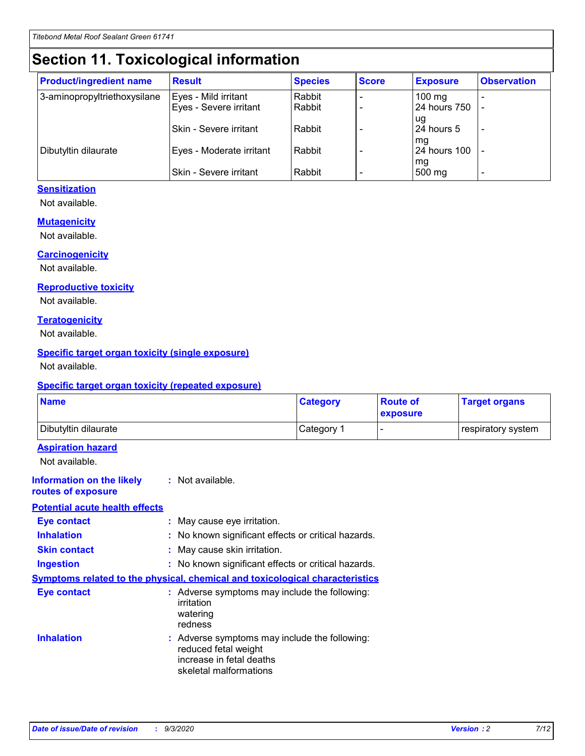## **Section 11. Toxicological information**

| <b>Product/ingredient name</b> | <b>Result</b>                 | <b>Species</b> | <b>Score</b> | <b>Exposure</b>    | <b>Observation</b> |
|--------------------------------|-------------------------------|----------------|--------------|--------------------|--------------------|
| 3-aminopropyltriethoxysilane   | Eyes - Mild irritant          | Rabbit         |              | $100$ mg           |                    |
|                                | Eyes - Severe irritant        | Rabbit         |              | 24 hours 750       |                    |
|                                |                               |                |              | ug                 |                    |
|                                | <b>Skin - Severe irritant</b> | Rabbit         |              | 24 hours 5         | ۰                  |
| Dibutyltin dilaurate           | Eyes - Moderate irritant      | Rabbit         |              | mq<br>24 hours 100 |                    |
|                                |                               |                |              | mg                 |                    |
|                                | Skin - Severe irritant        | Rabbit         |              | 500 mg             |                    |

#### **Sensitization**

Not available.

#### **Mutagenicity**

Not available.

#### **Carcinogenicity**

Not available.

#### **Reproductive toxicity**

Not available.

#### **Teratogenicity**

Not available.

#### **Specific target organ toxicity (single exposure)**

Not available.

#### **Specific target organ toxicity (repeated exposure)**

| <b>Name</b>                                                                  |                                                                                                                             | <b>Category</b>                                     | <b>Route of</b><br>exposure  | <b>Target organs</b> |  |  |
|------------------------------------------------------------------------------|-----------------------------------------------------------------------------------------------------------------------------|-----------------------------------------------------|------------------------------|----------------------|--|--|
| Dibutyltin dilaurate                                                         |                                                                                                                             | Category 1                                          | $\qquad \qquad \blacksquare$ | respiratory system   |  |  |
| <b>Aspiration hazard</b><br>Not available.                                   |                                                                                                                             |                                                     |                              |                      |  |  |
| <b>Information on the likely</b><br>routes of exposure                       | : Not available.                                                                                                            |                                                     |                              |                      |  |  |
| <b>Potential acute health effects</b>                                        |                                                                                                                             |                                                     |                              |                      |  |  |
| <b>Eye contact</b>                                                           | : May cause eye irritation.                                                                                                 |                                                     |                              |                      |  |  |
| <b>Inhalation</b>                                                            |                                                                                                                             | : No known significant effects or critical hazards. |                              |                      |  |  |
| <b>Skin contact</b>                                                          |                                                                                                                             | : May cause skin irritation.                        |                              |                      |  |  |
| <b>Ingestion</b>                                                             |                                                                                                                             | : No known significant effects or critical hazards. |                              |                      |  |  |
| Symptoms related to the physical, chemical and toxicological characteristics |                                                                                                                             |                                                     |                              |                      |  |  |
| <b>Eye contact</b>                                                           | : Adverse symptoms may include the following:<br>irritation<br>watering<br>redness                                          |                                                     |                              |                      |  |  |
| <b>Inhalation</b>                                                            | : Adverse symptoms may include the following:<br>reduced fetal weight<br>increase in fetal deaths<br>skeletal malformations |                                                     |                              |                      |  |  |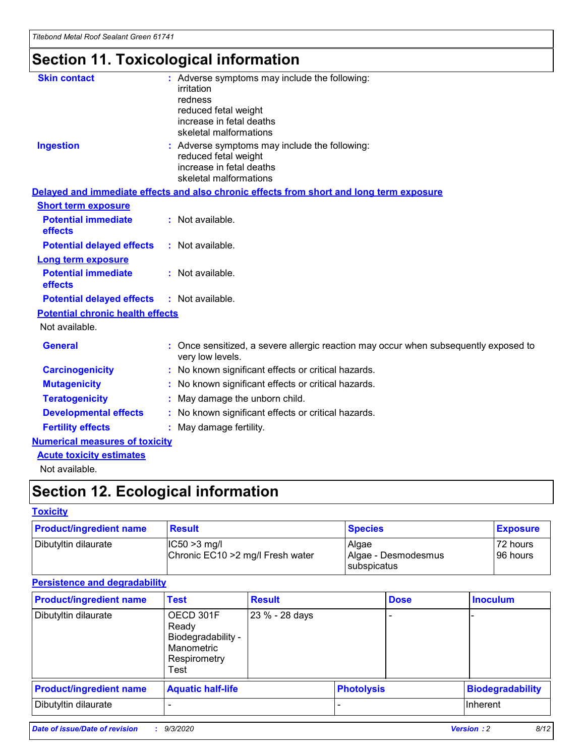## **Section 11. Toxicological information**

| <b>Skin contact</b>                     | : Adverse symptoms may include the following:                                                                               |  |
|-----------------------------------------|-----------------------------------------------------------------------------------------------------------------------------|--|
|                                         | irritation                                                                                                                  |  |
|                                         | redness<br>reduced fetal weight                                                                                             |  |
|                                         | increase in fetal deaths                                                                                                    |  |
|                                         | skeletal malformations                                                                                                      |  |
| <b>Ingestion</b>                        | : Adverse symptoms may include the following:<br>reduced fetal weight<br>increase in fetal deaths<br>skeletal malformations |  |
|                                         | Delayed and immediate effects and also chronic effects from short and long term exposure                                    |  |
| <b>Short term exposure</b>              |                                                                                                                             |  |
| <b>Potential immediate</b><br>effects   | : Not available.                                                                                                            |  |
| <b>Potential delayed effects</b>        | : Not available.                                                                                                            |  |
| <b>Long term exposure</b>               |                                                                                                                             |  |
| <b>Potential immediate</b><br>effects   | : Not available.                                                                                                            |  |
| <b>Potential delayed effects</b>        | : Not available.                                                                                                            |  |
| <b>Potential chronic health effects</b> |                                                                                                                             |  |
| Not available.                          |                                                                                                                             |  |
| <b>General</b>                          | : Once sensitized, a severe allergic reaction may occur when subsequently exposed to<br>very low levels.                    |  |
| <b>Carcinogenicity</b>                  | : No known significant effects or critical hazards.                                                                         |  |
| <b>Mutagenicity</b>                     | : No known significant effects or critical hazards.                                                                         |  |
| <b>Teratogenicity</b>                   | May damage the unborn child.                                                                                                |  |
| <b>Developmental effects</b>            | : No known significant effects or critical hazards.                                                                         |  |
| <b>Fertility effects</b>                | May damage fertility.                                                                                                       |  |
| <b>Numerical measures of toxicity</b>   |                                                                                                                             |  |
| <b>Acute toxicity estimates</b>         |                                                                                                                             |  |
| الملحلة والمستحيط والمسالم              |                                                                                                                             |  |

Not available.

## **Section 12. Ecological information**

#### **Toxicity**

| <b>Product/ingredient name</b> | <b>Result</b>                                       | <b>Species</b>               | <b>Exposure</b>       |
|--------------------------------|-----------------------------------------------------|------------------------------|-----------------------|
| Dibutyltin dilaurate           | $ CC50>3$ mg/l<br>Chronic EC10 > 2 mg/l Fresh water | Algae<br>Algae - Desmodesmus | 72 hours<br>196 hours |
|                                |                                                     | <b>I</b> subspicatus         |                       |

#### **Persistence and degradability**

| <b>Product/ingredient name</b> | <b>Test</b>                                                                    | <b>Result</b>  |                   | <b>Dose</b> | <b>Inoculum</b>         |
|--------------------------------|--------------------------------------------------------------------------------|----------------|-------------------|-------------|-------------------------|
| Dibutyltin dilaurate           | OECD 301F<br>Ready<br>Biodegradability -<br>Manometric<br>Respirometry<br>Test | 23 % - 28 days |                   |             |                         |
| <b>Product/ingredient name</b> | <b>Aquatic half-life</b>                                                       |                | <b>Photolysis</b> |             | <b>Biodegradability</b> |
| Dibutyltin dilaurate           |                                                                                |                |                   |             | <b>Inherent</b>         |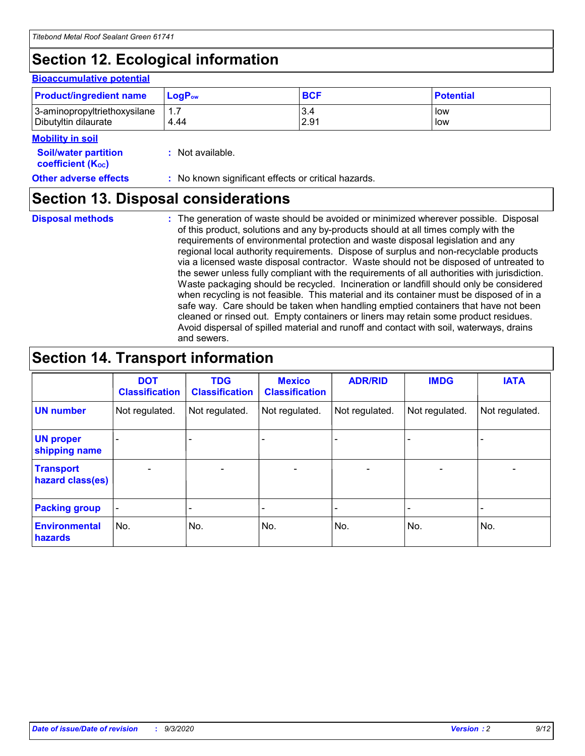## **Section 12. Ecological information**

#### **Bioaccumulative potential**

| <b>Product/ingredient name</b> | <b>LogP</b> <sub>ow</sub> | <b>BCF</b> | <b>Potential</b> |
|--------------------------------|---------------------------|------------|------------------|
| 3-aminopropyltriethoxysilane   | 4.44                      | 3.4        | low              |
| Dibutyltin dilaurate           |                           | 2.91       | low              |

#### **Mobility in soil**

| <b>Soil/water partition</b> | : Not available. |
|-----------------------------|------------------|
|-----------------------------|------------------|

**Other adverse effects** : No known significant effects or critical hazards.

### **Section 13. Disposal considerations**

**Disposal methods :**

**coefficient (KOC)**

The generation of waste should be avoided or minimized wherever possible. Disposal of this product, solutions and any by-products should at all times comply with the requirements of environmental protection and waste disposal legislation and any regional local authority requirements. Dispose of surplus and non-recyclable products via a licensed waste disposal contractor. Waste should not be disposed of untreated to the sewer unless fully compliant with the requirements of all authorities with jurisdiction. Waste packaging should be recycled. Incineration or landfill should only be considered when recycling is not feasible. This material and its container must be disposed of in a safe way. Care should be taken when handling emptied containers that have not been cleaned or rinsed out. Empty containers or liners may retain some product residues. Avoid dispersal of spilled material and runoff and contact with soil, waterways, drains and sewers.

### **Section 14. Transport information**

|                                      | <b>DOT</b><br><b>Classification</b> | <b>TDG</b><br><b>Classification</b> | <b>Mexico</b><br><b>Classification</b> | <b>ADR/RID</b>           | <b>IMDG</b>              | <b>IATA</b>    |
|--------------------------------------|-------------------------------------|-------------------------------------|----------------------------------------|--------------------------|--------------------------|----------------|
| <b>UN number</b>                     | Not regulated.                      | Not regulated.                      | Not regulated.                         | Not regulated.           | Not regulated.           | Not regulated. |
| <b>UN proper</b><br>shipping name    |                                     |                                     |                                        |                          |                          |                |
| <b>Transport</b><br>hazard class(es) |                                     | $\overline{\phantom{0}}$            | $\qquad \qquad \blacksquare$           | $\overline{\phantom{0}}$ | $\overline{\phantom{0}}$ |                |
| <b>Packing group</b>                 |                                     |                                     |                                        |                          |                          |                |
| <b>Environmental</b><br>hazards      | No.                                 | No.                                 | No.                                    | No.                      | No.                      | No.            |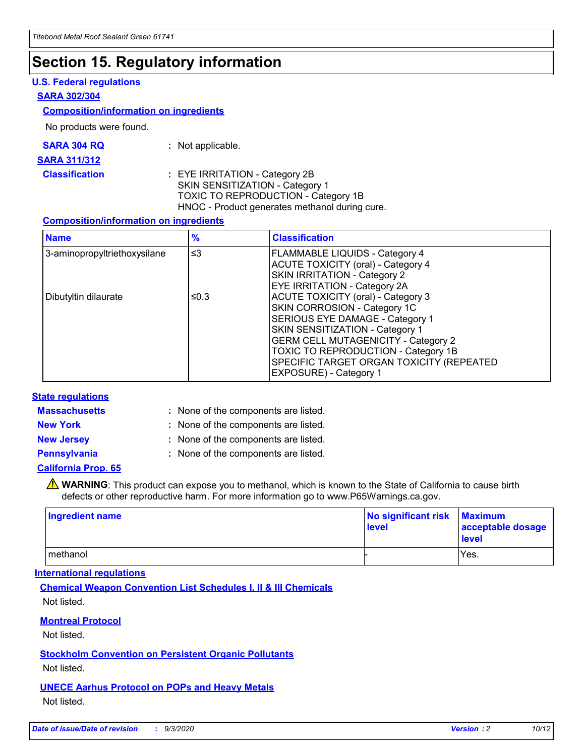### **Section 15. Regulatory information**

#### **U.S. Federal regulations**

#### **SARA 302/304**

#### **Composition/information on ingredients**

No products were found.

| SARA 304 RQ | Not applicable. |
|-------------|-----------------|
|-------------|-----------------|

#### **SARA 311/312**

#### **Classification :** EYE IRRITATION - Category 2B SKIN SENSITIZATION - Category 1 TOXIC TO REPRODUCTION - Category 1B HNOC - Product generates methanol during cure.

#### **Composition/information on ingredients**

| <b>Name</b>                  | $\frac{9}{6}$ | <b>Classification</b>                                                                                                                                                                                                                                                                                      |
|------------------------------|---------------|------------------------------------------------------------------------------------------------------------------------------------------------------------------------------------------------------------------------------------------------------------------------------------------------------------|
| 3-aminopropyltriethoxysilane | $\leq$ 3      | <b>FLAMMABLE LIQUIDS - Category 4</b><br><b>ACUTE TOXICITY (oral) - Category 4</b><br><b>SKIN IRRITATION - Category 2</b><br>EYE IRRITATION - Category 2A                                                                                                                                                  |
| Dibutyltin dilaurate         | ≤0.3          | <b>ACUTE TOXICITY (oral) - Category 3</b><br>SKIN CORROSION - Category 1C<br>SERIOUS EYE DAMAGE - Category 1<br>SKIN SENSITIZATION - Category 1<br><b>GERM CELL MUTAGENICITY - Category 2</b><br>TOXIC TO REPRODUCTION - Category 1B<br>SPECIFIC TARGET ORGAN TOXICITY (REPEATED<br>EXPOSURE) - Category 1 |

#### **State regulations**

**Massachusetts :**

: None of the components are listed.

**New York :** None of the components are listed. **New Jersey :** None of the components are listed.

**Pennsylvania :** None of the components are listed.

#### **California Prop. 65**

WARNING: This product can expose you to methanol, which is known to the State of California to cause birth defects or other reproductive harm. For more information go to www.P65Warnings.ca.gov.

| Ingredient name | No significant risk<br>level | <b>Maximum</b><br>acceptable dosage<br>level |
|-----------------|------------------------------|----------------------------------------------|
| methanol        |                              | Yes.                                         |

#### **International regulations**

**Chemical Weapon Convention List Schedules I, II & III Chemicals** Not listed.

#### **Montreal Protocol**

Not listed.

**Stockholm Convention on Persistent Organic Pollutants**

Not listed.

#### **UNECE Aarhus Protocol on POPs and Heavy Metals** Not listed.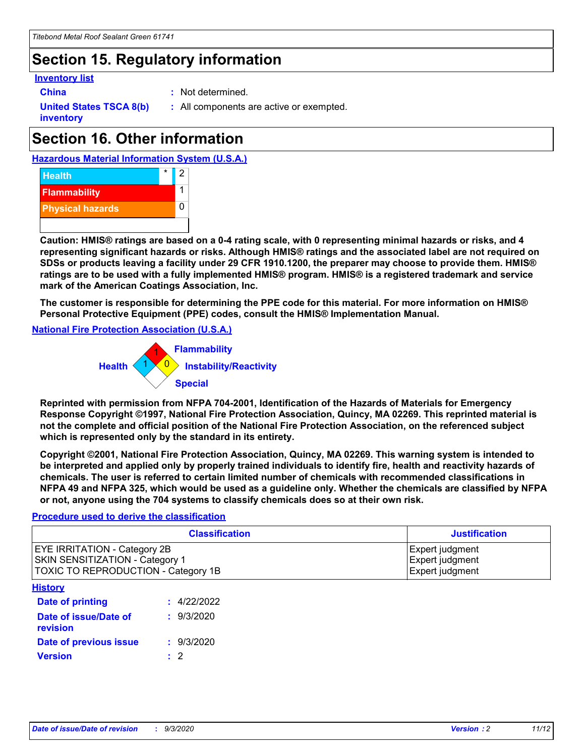### **Section 15. Regulatory information**

#### **Inventory list**

- 
- **China :** Not determined.

**United States TSCA 8(b) inventory**

**:** All components are active or exempted.

## **Section 16. Other information**





**Caution: HMIS® ratings are based on a 0-4 rating scale, with 0 representing minimal hazards or risks, and 4 representing significant hazards or risks. Although HMIS® ratings and the associated label are not required on SDSs or products leaving a facility under 29 CFR 1910.1200, the preparer may choose to provide them. HMIS® ratings are to be used with a fully implemented HMIS® program. HMIS® is a registered trademark and service mark of the American Coatings Association, Inc.**

**The customer is responsible for determining the PPE code for this material. For more information on HMIS® Personal Protective Equipment (PPE) codes, consult the HMIS® Implementation Manual.**

**National Fire Protection Association (U.S.A.)**



**Reprinted with permission from NFPA 704-2001, Identification of the Hazards of Materials for Emergency Response Copyright ©1997, National Fire Protection Association, Quincy, MA 02269. This reprinted material is not the complete and official position of the National Fire Protection Association, on the referenced subject which is represented only by the standard in its entirety.**

**Copyright ©2001, National Fire Protection Association, Quincy, MA 02269. This warning system is intended to be interpreted and applied only by properly trained individuals to identify fire, health and reactivity hazards of chemicals. The user is referred to certain limited number of chemicals with recommended classifications in NFPA 49 and NFPA 325, which would be used as a guideline only. Whether the chemicals are classified by NFPA or not, anyone using the 704 systems to classify chemicals does so at their own risk.**

#### **Procedure used to derive the classification**

| <b>Classification</b>                                                                                         | <b>Justification</b>                                  |
|---------------------------------------------------------------------------------------------------------------|-------------------------------------------------------|
| <b>EYE IRRITATION - Category 2B</b><br>SKIN SENSITIZATION - Category 1<br>TOXIC TO REPRODUCTION - Category 1B | Expert judgment<br>Expert judgment<br>Expert judgment |
| <b>History</b>                                                                                                |                                                       |

| .                                 |             |
|-----------------------------------|-------------|
| <b>Date of printing</b>           | : 4/22/2022 |
| Date of issue/Date of<br>revision | : 9/3/2020  |
| Date of previous issue            | : 9/3/2020  |
| <b>Version</b>                    | $\cdot$ 2   |
|                                   |             |